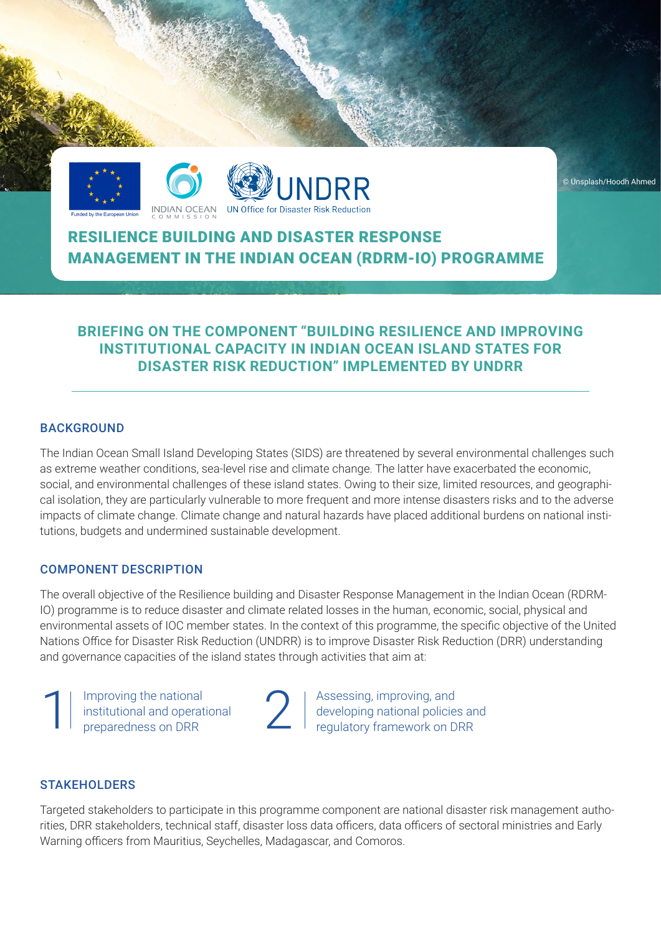





# RESILIENCE BUILDING AND DISASTER RESPONSE MANAGEMENT IN THE INDIAN OCEAN (RDRM-IO) PROGRAMME

## **BRIEFING ON THE COMPONENT "BUILDING RESILIENCE AND IMPROVING INSTITUTIONAL CAPACITY IN INDIAN OCEAN ISLAND STATES FOR DISASTER RISK REDUCTION" IMPLEMENTED BY UNDRR**

#### BACKGROUND

The Indian Ocean Small Island Developing States (SIDS) are threatened by several environmental challenges such as extreme weather conditions, sea-level rise and climate change. The latter have exacerbated the economic, social, and environmental challenges of these island states. Owing to their size, limited resources, and geographical isolation, they are particularly vulnerable to more frequent and more intense disasters risks and to the adverse impacts of climate change. Climate change and natural hazards have placed additional burdens on national institutions, budgets and undermined sustainable development.

#### COMPONENT DESCRIPTION

The overall objective of the Resilience building and Disaster Response Management in the Indian Ocean (RDRM-IO) programme is to reduce disaster and climate related losses in the human, economic, social, physical and environmental assets of IOC member states. In the context of this programme, the specific objective of the United Nations Office for Disaster Risk Reduction (UNDRR) is to improve Disaster Risk Reduction (DRR) understanding and governance capacities of the island states through activities that aim at:

1 Improving the national<br>
institutional and operational<br>
preparedness on DRR<br>
2 institutional and operational preparedness on DRR

Assessing, improving, and developing national policies and regulatory framework on DRR

#### **STAKEHOLDERS**

Targeted stakeholders to participate in this programme component are national disaster risk management authorities, DRR stakeholders, technical staff, disaster loss data officers, data officers of sectoral ministries and Early Warning officers from Mauritius, Seychelles, Madagascar, and Comoros.

© Unsplash/Hoodh Ahmed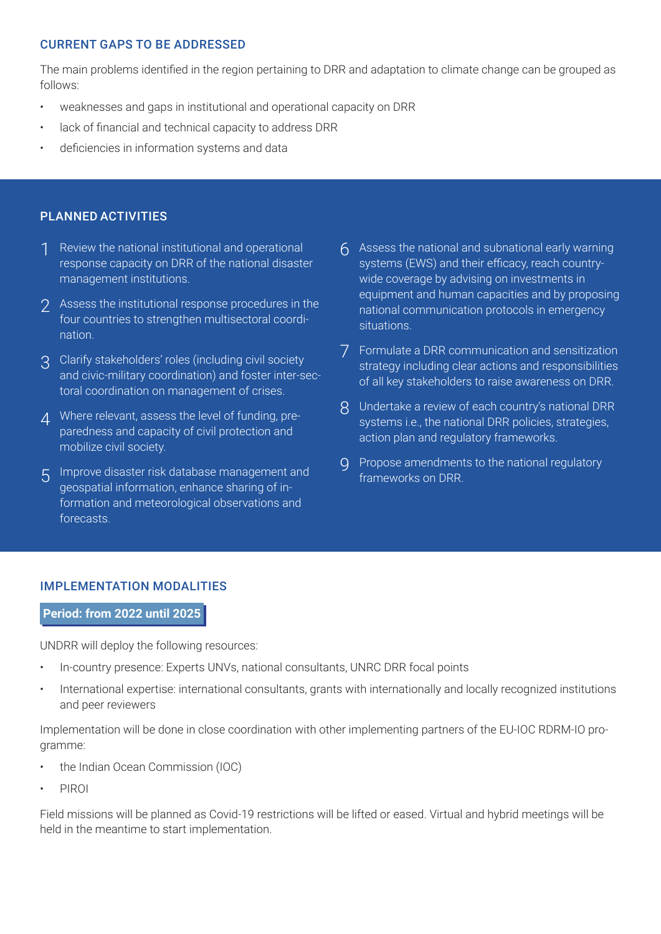## CURRENT GAPS TO BE ADDRESSED

The main problems identified in the region pertaining to DRR and adaptation to climate change can be grouped as follows:

- weaknesses and gaps in institutional and operational capacity on DRR
- lack of financial and technical capacity to address DRR
- deficiencies in information systems and data

## PLANNED ACTIVITIES

- Review the national institutional and operational response capacity on DRR of the national disaster management institutions. 1
- 2 Assess the institutional response procedures in the four countries to strengthen multisectoral coordination.
- 3 Clarify stakeholders' roles (including civil society and civic-military coordination) and foster inter-sectoral coordination on management of crises.
- Where relevant, assess the level of funding, pre-4 paredness and capacity of civil protection and mobilize civil society.
- Improve disaster risk database management and 5 geospatial information, enhance sharing of information and meteorological observations and forecasts.
- Assess the national and subnational early warning 6 systems (EWS) and their efficacy, reach countrywide coverage by advising on investments in equipment and human capacities and by proposing national communication protocols in emergency situations.
- Formulate a DRR communication and sensitization 7 strategy including clear actions and responsibilities of all key stakeholders to raise awareness on DRR.
- Undertake a review of each country's national DRR 8 systems i.e., the national DRR policies, strategies, action plan and regulatory frameworks.
- 9 Propose amendments to the national regulatory frameworks on DRR.

## IMPLEMENTATION MODALITIES

#### **Period: from 2022 until 2025**

UNDRR will deploy the following resources:

- In-country presence: Experts UNVs, national consultants, UNRC DRR focal points
- International expertise: international consultants, grants with internationally and locally recognized institutions and peer reviewers

Implementation will be done in close coordination with other implementing partners of the EU-IOC RDRM-IO programme:

- the Indian Ocean Commission (IOC)
- PIROI

Field missions will be planned as Covid-19 restrictions will be lifted or eased. Virtual and hybrid meetings will be held in the meantime to start implementation.